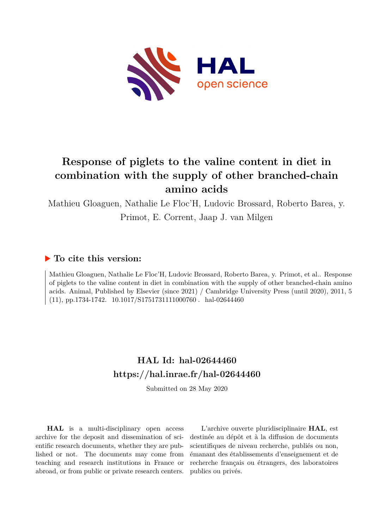

# **Response of piglets to the valine content in diet in combination with the supply of other branched-chain amino acids**

Mathieu Gloaguen, Nathalie Le Floc'H, Ludovic Brossard, Roberto Barea, y.

Primot, E. Corrent, Jaap J. van Milgen

### **To cite this version:**

Mathieu Gloaguen, Nathalie Le Floc'H, Ludovic Brossard, Roberto Barea, y. Primot, et al.. Response of piglets to the valine content in diet in combination with the supply of other branched-chain amino acids. Animal, Published by Elsevier (since 2021) / Cambridge University Press (until 2020), 2011, 5  $(11)$ , pp.1734-1742.  $10.1017/S1751731111000760$ . hal-02644460

## **HAL Id: hal-02644460 <https://hal.inrae.fr/hal-02644460>**

Submitted on 28 May 2020

**HAL** is a multi-disciplinary open access archive for the deposit and dissemination of scientific research documents, whether they are published or not. The documents may come from teaching and research institutions in France or abroad, or from public or private research centers.

L'archive ouverte pluridisciplinaire **HAL**, est destinée au dépôt et à la diffusion de documents scientifiques de niveau recherche, publiés ou non, émanant des établissements d'enseignement et de recherche français ou étrangers, des laboratoires publics ou privés.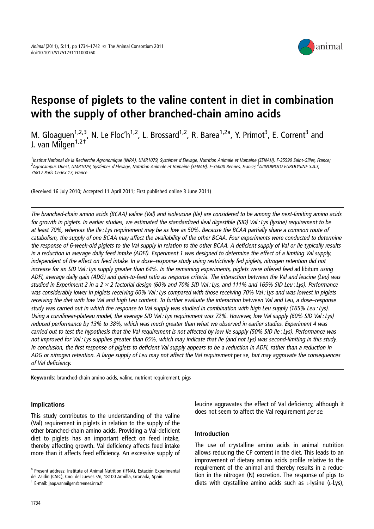

# Response of piglets to the valine content in diet in combination with the supply of other branched-chain amino acids

M. Gloaguen<sup>1,2,3</sup>, N. Le Floc'h<sup>1,2</sup>, L. Brossard<sup>1,2</sup>, R. Barea<sup>1,2a</sup>, Y. Primot<sup>3</sup>, E. Corrent<sup>3</sup> and w. Giodgaen<br>J. van Milgen<sup>1,2+</sup>

1Institut National de la Recherche Agronomique (INRA), UMR1079, Systèmes d'Elevage, Nutrition Animale et Humaine (SENAH), F-35590 Saint-Gilles, France, <sup>2</sup>Agrocampus Ouest, UMR1079, Systèmes d'Elevage, Nutrition Animale et Humaine (SENAH), F-35000 Rennes, France; <sup>3</sup>AJINOMOTO EUROLYSINE S.A.S 75817 Paris Cedex 17, France

(Received 16 July 2010; Accepted 11 April 2011; First published online 3 June 2011)

The branched-chain amino acids (BCAA) valine (Val) and isoleucine (Ile) are considered to be among the next-limiting amino acids for growth in piglets. In earlier studies, we estimated the standardized ileal digestible (SID) Val : Lys (lysine) requirement to be at least 70%, whereas the Ile : Lys requirement may be as low as 50%. Because the BCAA partially share <sup>a</sup> common route of catabolism, the supply of one BCAA may affect the availability of the other BCAA. Four experiments were conducted to determine the response of 6-week-old piglets to the Val supply in relation to the other BCAA. A deficient supply of Val or Ile typically results in <sup>a</sup> reduction in average daily feed intake (ADFI). Experiment 1 was designed to determine the effect of <sup>a</sup> limiting Val supply, independent of the effect on feed intake. In <sup>a</sup> dose–response study using restrictively fed piglets, nitrogen retention did not increase for an SID Val: Lys supply greater than 64%. In the remaining experiments, piglets were offered feed ad libitum using ADFI, average daily gain (ADG) and gain-to-feed ratio as response criteria. The interaction between the Val and leucine (Leu) was studied in Experiment 2 in a  $2 \times 2$  factorial design (60% and 70% SID Val: Lys, and 111% and 165% SID Leu: Lys). Performance was considerably lower in piglets receiving 60% Val : Lys compared with those receiving 70% Val : Lys and was lowest in piglets receiving the diet with low Val and high Leu content. To further evaluate the interaction between Val and Leu, <sup>a</sup> dose–response study was carried out in which the response to Val supply was studied in combination with high Leu supply (165% Leu : Lys). Using <sup>a</sup> curvilinear-plateau model, the average SID Val : Lys requirement was 72%. However, low Val supply (60% SID Val : Lys) reduced performance by 13% to 38%, which was much greater than what we observed in earlier studies. Experiment 4 was carried out to test the hypothesis that the Val requirement is not affected by low Ile supply (50% SID Ile : Lys). Performance was not improved for Val : Lys supplies greater than 65%, which may indicate that Ile (and not Lys) was second-limiting in this study. In conclusion, the first response of piglets to deficient Val supply appears to be <sup>a</sup> reduction in ADFI, rather than <sup>a</sup> reduction in ADG or nitrogen retention. <sup>A</sup> large supply of Leu may not affect the Val requirement per se, but may aggravate the consequences of Val deficiency.

Keywords: branched-chain amino acids, valine, nutrient requirement, pigs

#### Implications

This study contributes to the understanding of the valine (Val) requirement in piglets in relation to the supply of the other branched-chain amino acids. Providing a Val-deficient diet to piglets has an important effect on feed intake, thereby affecting growth. Val deficiency affects feed intake more than it affects feed efficiency. An excessive supply of leucine aggravates the effect of Val deficiency, although it does not seem to affect the Val requirement per se.

#### Introduction

The use of crystalline amino acids in animal nutrition allows reducing the CP content in the diet. This leads to an improvement of dietary amino acids profile relative to the requirement of the animal and thereby results in a reduction in the nitrogen (N) excretion. The response of pigs to diets with crystalline amino acids such as  $L$ -lysine ( $L$ -Lys),

<sup>&</sup>lt;sup>a</sup> Present address: Institute of Animal Nutrition (IFNA), Estación Experimental del Zaidín (CSIC), Cno. del Jueves s/n, 18100 Armilla, Granada, Spain.<br><sup>+</sup> E-mail: jaap.vanmilgen@rennes.inra.fr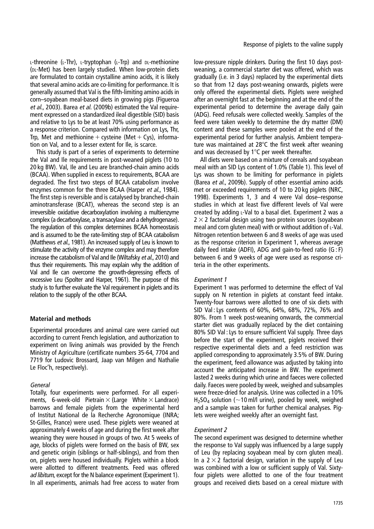L-threonine (L-Thr), L-tryptophan (L-Trp) and DL-methionine (DL-Met) has been largely studied. When low-protein diets are formulated to contain crystalline amino acids, it is likely that several amino acids are co-limiting for performance. It is generally assumed that Val is the fifth-limiting amino acids in corn–soyabean meal-based diets in growing pigs (Figueroa et al., 2003). Barea et al. (2009b) estimated the Val requirement expressed on a standardized ileal digestible (SID) basis and relative to Lys to be at least 70% using performance as a response criterion. Compared with information on Lys, Thr, Trp, Met and methionine  $+$  cysteine (Met  $+$  Cys), information on Val, and to a lesser extent for Ile, is scarce.

This study is part of a series of experiments to determine the Val and Ile requirements in post-weaned piglets (10 to 20 kg BW). Val, Ile and Leu are branched-chain amino acids (BCAA). When supplied in excess to requirements, BCAA are degraded. The first two steps of BCAA catabolism involve enzymes common for the three BCAA (Harper et al., 1984). The first step is reversible and is catalysed by branched-chain aminotransferase (BCAT), whereas the second step is an irreversible oxidative decarboxylation involving a multienzyme complex (a decarboxylase, a transacylase and a dehydrogenase). The regulation of this complex determines BCAA homeostasis and is assumed to be the rate-limiting step of BCAA catabolism (Matthews et al., 1981). An increased supply of Leu is known to stimulate the activity of the enzyme complex and may therefore increase the catabolism of Val and Ile (Wiltafsky et al., 2010) and thus their requirements. This may explain why the addition of Val and Ile can overcome the growth-depressing effects of excessive Leu (Spolter and Harper, 1961). The purpose of this study is to further evaluate the Val requirement in piglets and its relation to the supply of the other BCAA.

#### Material and methods

Experimental procedures and animal care were carried out according to current French legislation, and authorization to experiment on living animals was provided by the French Ministry of Agriculture (certificate numbers 35-64, 7704 and 7719 for Ludovic Brossard, Jaap van Milgen and Nathalie Le Floc'h, respectively).

#### General

Totally, four experiments were performed. For all experiments, 6-week-old Pietrain  $\times$  (Large White  $\times$  Landrace) barrows and female piglets from the experimental herd of Institut National de la Recherche Agronomique (INRA; St-Gilles, France) were used. These piglets were weaned at approximately 4 weeks of age and during the first week after weaning they were housed in groups of two. At 5 weeks of age, blocks of piglets were formed on the basis of BW, sex and genetic origin (siblings or half-siblings), and from then on, piglets were housed individually. Piglets within a block were allotted to different treatments. Feed was offered ad libitum, except for the N balance experiment (Experiment 1). In all experiments, animals had free access to water from

low-pressure nipple drinkers. During the first 10 days postweaning, a commercial starter diet was offered, which was gradually (i.e. in 3 days) replaced by the experimental diets so that from 12 days post-weaning onwards, piglets were only offered the experimental diets. Piglets were weighed after an overnight fast at the beginning and at the end of the experimental period to determine the average daily gain (ADG). Feed refusals were collected weekly. Samples of the feed were taken weekly to determine the dry matter (DM) content and these samples were pooled at the end of the experimental period for further analysis. Ambient temperature was maintained at  $28^{\circ}$ C the first week after weaning and was decreased by  $1^{\circ}$ C per week thereafter.

All diets were based on a mixture of cereals and soyabean meal with an SID Lys content of 1.0% (Table 1). This level of Lys was shown to be limiting for performance in piglets (Barea et al., 2009b). Supply of other essential amino acids met or exceeded requirements of 10 to 20 kg piglets (NRC, 1998). Experiments 1, 3 and 4 were Val dose–response studies in which at least five different levels of Val were created by adding L-Val to a basal diet. Experiment 2 was a  $2 \times 2$  factorial design using two protein sources (soyabean meal and corn gluten meal) with or without addition of  $L$ -Val. Nitrogen retention between 6 and 8 weeks of age was used as the response criterion in Experiment 1, whereas average daily feed intake (ADFI), ADG and gain-to-feed ratio (G : F) between 6 and 9 weeks of age were used as response criteria in the other experiments.

#### Experiment 1

Experiment 1 was performed to determine the effect of Val supply on N retention in piglets at constant feed intake. Twenty-four barrows were allotted to one of six diets with SID Val : Lys contents of 60%, 64%, 68%, 72%, 76% and 80%. From 1 week post-weaning onwards, the commercial starter diet was gradually replaced by the diet containing 80% SID Val : Lys to ensure sufficient Val supply. Three days before the start of the experiment, piglets received their respective experimental diets and a feed restriction was applied corresponding to approximately 3.5% of BW. During the experiment, feed allowance was adjusted by taking into account the anticipated increase in BW. The experiment lasted 2 weeks during which urine and faeces were collected daily. Faeces were pooled by week, weighed and subsamples were freeze-dried for analysis. Urine was collected in a 10%  $H<sub>2</sub>SO<sub>4</sub>$  solution ( $\sim$ 10 ml/l urine), pooled by week, weighed and a sample was taken for further chemical analyses. Piglets were weighed weekly after an overnight fast.

#### Experiment 2

The second experiment was designed to determine whether the response to Val supply was influenced by a large supply of Leu (by replacing soyabean meal by corn gluten meal). In a  $2 \times 2$  factorial design, variation in the supply of Leu was combined with a low or sufficient supply of Val. Sixtyfour piglets were allotted to one of the four treatment groups and received diets based on a cereal mixture with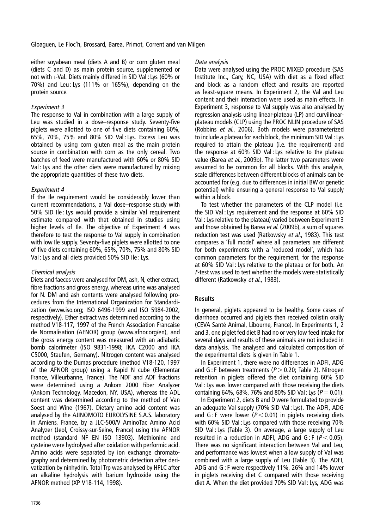either soyabean meal (diets A and B) or corn gluten meal (diets C and D) as main protein source, supplemented or not with L-Val. Diets mainly differed in SID Val : Lys (60% or 70%) and Leu : Lys (111% or 165%), depending on the protein source.

#### Experiment 3

The response to Val in combination with a large supply of Leu was studied in a dose–response study. Seventy-five piglets were allotted to one of five diets containing 60%, 65%, 70%, 75% and 80% SID Val : Lys. Excess Leu was obtained by using corn gluten meal as the main protein source in combination with corn as the only cereal. Two batches of feed were manufactured with 60% or 80% SID Val : Lys and the other diets were manufactured by mixing the appropriate quantities of these two diets.

#### Experiment 4

If the Ile requirement would be considerably lower than current recommendations, a Val dose–response study with 50% SID Ile : Lys would provide a similar Val requirement estimate compared with that obtained in studies using higher levels of Ile. The objective of Experiment 4 was therefore to test the response to Val supply in combination with low Ile supply. Seventy-five piglets were allotted to one of five diets containing 60%, 65%, 70%, 75% and 80% SID Val : Lys and all diets provided 50% SID Ile : Lys.

#### Chemical analysis

Diets and faeces were analysed for DM, ash, N, ether extract, fibre fractions and gross energy, whereas urine was analysed for N. DM and ash contents were analysed following procedures from the International Organization for Standardization (www.iso.org; ISO 6496-1999 and ISO 5984-2002, respectively). Ether extract was determined according to the method V18-117, 1997 of the French Association Francaise de Normalisation (AFNOR) group (www.afnor.org/en), and the gross energy content was measured with an adiabatic bomb calorimeter (ISO 9831-1998; IKA C2000 and IKA C5000, Staufen, Germany). Nitrogen content was analysed according to the Dumas procedure (method V18-120, 1997 of the AFNOR group) using a Rapid N cube (Elementar France, Villeurbanne, France). The NDF and ADF fractions were determined using a Ankom 2000 Fiber Analyzer (Ankom Technology, Macedon, NY, USA), whereas the ADL content was determined according to the method of Van Soest and Wine (1967). Dietary amino acid content was analysed by the AJINOMOTO EUROLYSINE S.A.S. laboratory in Amiens, France, by a JLC-500/V AminoTac Amino Acid Analyzer (Jeol, Croissy-sur-Seine, France) using the AFNOR method (standard NF EN ISO 13903). Methionine and cysteine were hydrolysed after oxidation with performic acid. Amino acids were separated by ion exchange chromatography and determined by photometric detection after derivatization by ninhydrin. Total Trp was analysed by HPLC after an alkaline hydrolysis with barium hydroxide using the AFNOR method (XP V18-114, 1998).

#### Data analysis

Data were analysed using the PROC MIXED procedure (SAS Institute Inc., Cary, NC, USA) with diet as a fixed effect and block as a random effect and results are reported as least-square means. In Experiment 2, the Val and Leu content and their interaction were used as main effects. In Experiment 3, response to Val supply was also analysed by regression analysis using linear-plateau (LP) and curvilinearplateau models (CLP) using the PROC NLIN procedure of SAS (Robbins et al., 2006). Both models were parameterized to include a plateau for each block, the minimum SID Val : Lys required to attain the plateau (i.e. the requirement) and the response at 60% SID Val : Lys relative to the plateau value (Barea et al., 2009b). The latter two parameters were assumed to be common for all blocks. With this analysis, scale differences between different blocks of animals can be accounted for (e.g. due to differences in initial BW or genetic potential) while ensuring a general response to Val supply within a block.

To test whether the parameters of the CLP model (i.e. the SID Val : Lys requirement and the response at 60% SID Val : Lys relative to the plateau) varied between Experiment 3 and those obtained by Barea et al. (2009b), a sum of squares reduction test was used (Ratkowsky et al., 1983). This test compares a 'full model' where all parameters are different for both experiments with a 'reduced model', which has common parameters for the requirement, for the response at 60% SID Val : Lys relative to the plateau or for both. An <sup>F</sup>-test was used to test whether the models were statistically different (Ratkowsky et al., 1983).

#### **Results**

In general, piglets appeared to be healthy. Some cases of diarrhoea occurred and piglets then received colistin orally (CEVA Santé Animal, Libourne, France). In Experiments 1, 2 and 3, one piglet fed diet B had no or very low feed intake for several days and results of these animals are not included in data analysis. The analysed and calculated composition of the experimental diets is given in Table 1.

In Experiment 1, there were no differences in ADFI, ADG and G : F between treatments ( $P > 0.20$ : Table 2). Nitrogen retention in piglets offered the diet containing 60% SID Val : Lys was lower compared with those receiving the diets containing 64%, 68%, 76% and 80% SID Val : Lys ( $P = 0.01$ ).

In Experiment 2, diets B and D were formulated to provide an adequate Val supply (70% SID Val : Lys). The ADFI, ADG and G: F were lower ( $P < 0.01$ ) in piglets receiving diets with 60% SID Val : Lys compared with those receiving 70% SID Val : Lys (Table 3). On average, a large supply of Leu resulted in a reduction in ADFI, ADG and  $G$ : F ( $P < 0.05$ ). There was no significant interaction between Val and Leu, and performance was lowest when a low supply of Val was combined with a large supply of Leu (Table 3). The ADFI, ADG and G : F were respectively 11%, 26% and 14% lower in piglets receiving diet C compared with those receiving diet A. When the diet provided 70% SID Val : Lys, ADG was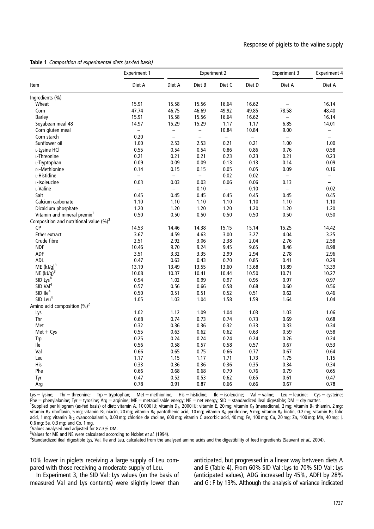|  |  | Table 1 Composition of experimental diets (as-fed basis) |  |  |  |
|--|--|----------------------------------------------------------|--|--|--|
|--|--|----------------------------------------------------------|--|--|--|

|                                            | <b>Experiment 1</b>      |                          |                          | <b>Experiment 2</b>      | <b>Experiment 3</b> | <b>Experiment 4</b>      |                          |
|--------------------------------------------|--------------------------|--------------------------|--------------------------|--------------------------|---------------------|--------------------------|--------------------------|
| Item                                       | Diet A                   | Diet A                   | Diet B                   | Diet C                   | Diet D              | Diet A                   | Diet A                   |
| Ingredients (%)                            |                          |                          |                          |                          |                     |                          |                          |
| Wheat                                      | 15.91                    | 15.58                    | 15.56                    | 16.64                    | 16.62               |                          | 16.14                    |
| Corn                                       | 47.74                    | 46.75                    | 46.69                    | 49.92                    | 49.85               | 78.58                    | 48.40                    |
| Barley                                     | 15.91                    | 15.58                    | 15.56                    | 16.64                    | 16.62               | $\overline{\phantom{0}}$ | 16.14                    |
| Soyabean meal 48                           | 14.97                    | 15.29                    | 15.29                    | 1.17                     | 1.17                | 6.85                     | 14.01                    |
| Corn gluten meal                           | $\overline{\phantom{0}}$ | $\overline{\phantom{0}}$ | $\overline{\phantom{0}}$ | 10.84                    | 10.84               | 9.00                     | $\qquad \qquad -$        |
| Corn starch                                | 0.20                     | $\qquad \qquad -$        | $\overline{\phantom{0}}$ | $\overline{\phantom{0}}$ | $\qquad \qquad -$   | $\qquad \qquad -$        |                          |
| Sunflower oil                              | 1.00                     | 2.53                     | 2.53                     | 0.21                     | 0.21                | 1.00                     | 1.00                     |
| L-Lysine HCl                               | 0.55                     | 0.54                     | 0.54                     | 0.86                     | 0.86                | 0.76                     | 0.58                     |
| L-Threonine                                | 0.21                     | 0.21                     | 0.21                     | 0.23                     | 0.23                | 0.21                     | 0.23                     |
| L-Tryptophan                               | 0.09                     | 0.09                     | 0.09                     | 0.13                     | 0.13                | 0.14                     | 0.09                     |
| DL-Methionine                              | 0.14                     | 0.15                     | 0.15                     | 0.05                     | 0.05                | 0.09                     | 0.16                     |
| L-Histidine                                | $\overline{\phantom{0}}$ | $\overline{\phantom{0}}$ | $\overline{\phantom{0}}$ | 0.02                     | 0.02                | $\overline{\phantom{0}}$ | $\overline{\phantom{0}}$ |
| L-Isoleucine                               | 0.03                     | 0.03                     | 0.03                     | 0.06                     | 0.06                | 0.13                     | $\overline{\phantom{0}}$ |
| L-Valine                                   | $\overline{\phantom{0}}$ | $\overline{\phantom{0}}$ | 0.10                     | $\overline{\phantom{0}}$ | 0.10                | $\qquad \qquad -$        | 0.02                     |
| Salt                                       | 0.45                     | 0.45                     | 0.45                     | 0.45                     | 0.45                | 0.45                     | 0.45                     |
| Calcium carbonate                          | 1.10                     | 1.10                     | 1.10                     | 1.10                     | 1.10                | 1.10                     | 1.10                     |
| Dicalcium phosphate                        | 1.20                     | 1.20                     | 1.20                     | 1.20                     | 1.20                | 1.20                     | 1.20                     |
| Vitamin and mineral premix <sup>1</sup>    | 0.50                     | 0.50                     | 0.50                     | 0.50                     | 0.50                | 0.50                     | 0.50                     |
| Composition and nutritional value $(\%)^2$ |                          |                          |                          |                          |                     |                          |                          |
| <b>CP</b>                                  | 14.53                    | 14.46                    | 14.38                    | 15.15                    | 15.14               | 15.25                    | 14.42                    |
| Ether extract                              | 3.67                     | 4.59                     | 4.63                     | 3.00                     | 3.27                | 4.04                     | 3.25                     |
| Crude fibre                                | 2.51                     | 2.92                     | 3.06                     | 2.38                     | 2.04                | 2.76                     | 2.58                     |
| <b>NDF</b>                                 | 10.46                    | 9.70                     | 9.24                     | 9.45                     | 9.65                | 8.46                     | 8.98                     |
| <b>ADF</b>                                 | 3.51                     | 3.32                     | 3.35                     | 2.99                     | 2.94                | 2.78                     | 2.96                     |
| ADL                                        | 0.47                     | 0.63                     | 0.43                     | 0.70                     | 0.85                | 0.41                     | 0.29                     |
| ME $(kJ/q)^3$                              | 13.19                    | 13.49                    | 13.55                    | 13.60                    | 13.68               | 13.89                    | 13.39                    |
| NE $(kJ/q)^3$                              | 10.08                    | 10.37                    | 10.41                    | 10.44                    | 10.50               | 10.71                    | 10.27                    |
| SID Lys $^4$                               | 0.94                     | 1.02                     | 0.99                     | 0.97                     | 0.95                | 0.97                     | 0.97                     |
| SID Val <sup>4</sup>                       | 0.57                     | 0.56                     | 0.66                     | 0.58                     | 0.68                | 0.60                     | 0.56                     |
| $SID$ $Ile4$                               | 0.50                     | 0.51                     | 0.51                     | 0.52                     | 0.51                | 0.62                     | 0.46                     |
| SID Leu <sup>4</sup>                       | 1.05                     | 1.03                     | 1.04                     | 1.58                     | 1.59                | 1.64                     | 1.04                     |
| Amino acid composition $(\%)^2$            |                          |                          |                          |                          |                     |                          |                          |
| Lys                                        | 1.02                     | 1.12                     | 1.09                     | 1.04                     | 1.03                | 1.03                     | 1.06                     |
| Thr                                        | 0.68                     | 0.74                     | 0.73                     | 0.74                     | 0.73                | 0.69                     | 0.68                     |
| Met                                        | 0.32                     | 0.36                     | 0.36                     | 0.32                     | 0.33                | 0.33                     | 0.34                     |
| $Met + Cys$                                | 0.55                     | 0.63                     | 0.62                     | 0.62                     | 0.63                | 0.59                     | 0.58                     |
| Trp                                        | 0.25                     | 0.24                     | 0.24                     | 0.24                     | 0.24                | 0.26                     | 0.24                     |
| lle                                        | 0.56                     | 0.58                     | 0.57                     | 0.58                     | 0.57                | 0.67                     | 0.53                     |
| Val                                        | 0.66                     | 0.65                     | 0.75                     | 0.66                     | 0.77                | 0.67                     | 0.64                     |
| Leu                                        | 1.17                     | 1.15                     | 1.17                     | 1.71                     | 1.73                | 1.75                     | 1.15                     |
| His                                        | 0.33                     | 0.36                     | 0.36                     | 0.36                     | 0.35                | 0.34                     | 0.34                     |
| Phe                                        | 0.66                     | 0.68                     | 0.68                     | 0.79                     | 0.76                | 0.79                     | 0.65                     |
| Tyr                                        | 0.47                     | 0.52                     | 0.53                     | 0.62                     | 0.65                | 0.61                     | 0.47                     |
|                                            | 0.78                     |                          | 0.87                     | 0.66                     | 0.66                | 0.67                     | 0.78                     |
| Arg                                        |                          | 0.91                     |                          |                          |                     |                          |                          |

Lys = lysine; Thr = threonine; Trp = tryptophan; Met = methionine; His = histidine; Ile = isoleucine; Val = valine; Leu = leucine; Cys = cysteine;  $P$ he = phenylalanine; Tyr = tyrosine; Arg = arginine; ME = metabolisable energy; NE = net energy; SID = standardized ileal digestible; DM = dry matter. <sup>1</sup>Supplied per kilogram (as-fed basis) of diet: vitamin A, 10 000 IU; vitamin D<sub>3</sub>, 2000 IU; vitamin E, 20 mg; vitamin K<sub>3</sub> (menadione), 2 mg; vitamin B<sub>1</sub> thiamin, 2 mg; vitamin B<sub>2</sub> riboflavin, 5 mg; vitamin B<sub>3</sub> niacin, 20 mg; vitamin B<sub>5</sub> pantothenic acid, 10 mg; vitamin B<sub>6</sub> pyridoxine, 5 mg; vitamin B<sub>8</sub> biotin, 0.2 mg; vitamin B<sub>9</sub> folic acid, 1 mg; vitamin B<sub>12</sub> cyanocobalamin, 0.03 mg; chloride de choline, 600 mg; vitamin C ascorbic acid, 40 mg; Fe, 100 mg; Cu, 20 mg; Zn, 100 mg; Mn, 40 mg; I,

0.6 mg; Se, 0.3 mg; and Co, 1 mg.

<sup>2</sup>Values analysed and adjusted for 87.3% DM.

<sup>3</sup>Values for ME and NE were calculated according to Noblet *et al.* (1994).<br><sup>4</sup>Standardized iloal digestible Lys. Val. Ile and Leu, calculated from the an

 $4$ Standardized ileal digestible Lys, Val, Ile and Leu, calculated from the analysed amino acids and the digestibility of feed ingredients (Sauvant et al., 2004).

10% lower in piglets receiving a large supply of Leu compared with those receiving a moderate supply of Leu.

In Experiment 3, the SID Val : Lys values (on the basis of measured Val and Lys contents) were slightly lower than

anticipated, but progressed in a linear way between diets A and E (Table 4). From 60% SID Val : Lys to 70% SID Val : Lys (anticipated values), ADG increased by 45%, ADFI by 28% and G : F by 13%. Although the analysis of variance indicated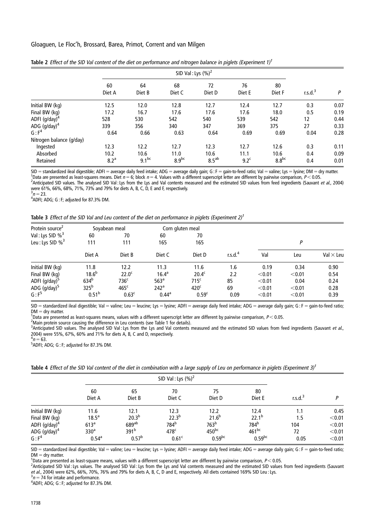|                          | SID Val: Lys $(\%)^2$ |              |              |                   |                  |              |            |      |
|--------------------------|-----------------------|--------------|--------------|-------------------|------------------|--------------|------------|------|
|                          | 60<br>Diet A          | 64<br>Diet B | 68<br>Diet C | 72<br>Diet D      | 76<br>Diet E     | 80<br>Diet F | r.s. $d^3$ | P    |
| Initial BW (kg)          | 12.5                  | 12.0         | 12.8         | 12.7              | 12.4             | 12.7         | 0.3        | 0.07 |
| Final BW (kg)            | 17.2                  | 16.7         | 17.6         | 17.6              | 17.6             | 18.0         | 0.5        | 0.19 |
| ADFI $(g/day)^4$         | 528                   | 530          | 542          | 540               | 539              | 542          | 12         | 0.44 |
| ADG $(g/day)^4$          | 339                   | 356          | 340          | 347               | 369              | 375          | 27         | 0.33 |
| G: F <sup>4</sup>        | 0.64                  | 0.66         | 0.63         | 0.64              | 0.69             | 0.69         | 0.04       | 0.28 |
| Nitrogen balance (g/day) |                       |              |              |                   |                  |              |            |      |
| Ingested                 | 12.3                  | 12.2         | 12.7         | 12.3              | 12.7             | 12.6         | 0.3        | 0.11 |
| Absorbed                 | 10.2                  | 10.6         | 11.0         | 10.6              | 11.1             | 10.6         | 0.4        | 0.09 |
| Retained                 | 8.2 <sup>a</sup>      | $9.1^{bc}$   | $8.9^{bc}$   | 8.5 <sup>ab</sup> | 9.2 <sup>c</sup> | $8.8^{bc}$   | 0.4        | 0.01 |

| Table 2 Effect of the SID Val content of the diet on performance and nitrogen balance in piglets (Experiment 1) <sup>1</sup> |  |
|------------------------------------------------------------------------------------------------------------------------------|--|
|                                                                                                                              |  |

SID = standardized ileal digestible; ADFI = average daily feed intake; ADG = average daily gain; G : F = gain-to-feed ratio; Val = valine; Lys = lysine; DM = dry matter. Data are presented as least-squares means. Diet  $n = 6$ ; block  $n = 4$ . Values with a different superscript letter are different by pairwise comparison,  $P < 0.05$ . Anticipated SID values. The analysed SID Val : Lys from the Lys and Val contents measured and the estimated SID values from feed ingredients (Sauvant et al., 2004) were 61%, 66%, 68%, 71%, 73% and 79% for diets A, B, C, D, E and F, respectively.

 $3n = 23.$ 

 $^3$ n = 23.<br><sup>4</sup>ADFI; ADG; G : F; adjusted for 87.3% DM.

| Table 3 Effect of the SID Val and Leu content of the diet on performance in piglets (Experiment $2$ ) <sup>1</sup> |  |
|--------------------------------------------------------------------------------------------------------------------|--|
|--------------------------------------------------------------------------------------------------------------------|--|

| Protein source <sup>2</sup>    |                   | Soyabean meal     |                  | Corn gluten meal  |            |        |        |                  |
|--------------------------------|-------------------|-------------------|------------------|-------------------|------------|--------|--------|------------------|
| Val: Lys SID % <sup>3</sup>    | 60                | 70                | 60               | 70                |            |        |        |                  |
| Leu: Lys SID $\%$ <sup>3</sup> | 111               | 111               | 165              | 165               |            | Ρ      |        |                  |
|                                | Diet A            | Diet B            | Diet C           | Diet D            | r.s.d. $4$ | Val    | Leu    | Val $\times$ Leu |
| Initial BW (kg)                | 11.8              | 12.2              | 11.3             | 11.6              | 1.6        | 0.19   | 0.34   | 0.90             |
| Final BW (kg)                  | $18.6^{b}$        | 22.0 <sup>c</sup> | $16.4^a$         | 20.4 <sup>c</sup> | 2.2        | < 0.01 | < 0.01 | 0.54             |
| ADFI (g/day) <sup>5</sup>      | 634 <sup>b</sup>  | 736 <sup>c</sup>  | 563 <sup>a</sup> | 715 <sup>c</sup>  | 85         | < 0.01 | 0.04   | 0.24             |
| ADG $(g/day)^5$                | 325 <sup>b</sup>  | 465 <sup>c</sup>  | 242 <sup>a</sup> | 420 <sup>c</sup>  | 69         | < 0.01 | < 0.01 | 0.28             |
| G: F <sup>5</sup>              | 0.51 <sup>b</sup> | 0.63 <sup>c</sup> | $0.44^{\circ}$   | 0.59 <sup>c</sup> | 0.09       | < 0.01 | < 0.01 | 0.39             |

 $SID =$ standardized ileal digestible; Val = valine; Leu = leucine; Lys = lysine; ADFI = average daily feed intake; ADG = average daily gain; G : F = gain-to-feed ratio;  $DM = dry$  matter.

<sup>1</sup>Data are presented as least-squares means, values with a different superscript letter are different by pairwise comparison,  $P < 0.05$ .

2 Main protein source causing the difference in Leu contents (see Table 1 for details).

<sup>3</sup>Anticipated SID values. The analysed SID Val : Lys from the Lys and Val contents measured and the estimated SID values from feed ingredients (Sauvant et al., 2004) were 55%, 67%, 60% and 71% for diets A, B, C and D, respectively.

 $^{4}n = 63.$ <br><sup>5</sup>^DEI: ^

 $5$ ADFI; ADG; G: F; adjusted for 87.3% DM.

Table 4 Effect of the SID Val content of the diet in combination with a large supply of Leu on performance in piglets (Experiment 3)<sup>1</sup>

|                   |                   | SID Val: Lys $(\%)^2$ |                   |                      |                  |           |        |
|-------------------|-------------------|-----------------------|-------------------|----------------------|------------------|-----------|--------|
|                   | 60<br>Diet A      | 65<br>Diet B          | 70<br>Diet C      | 75<br>Diet D         | 80<br>Diet E     | r.s. $d3$ |        |
| Initial BW (kg)   | 11.6              | 12.1                  | 12.3              | 12.2                 | 12.4             | 1.1       | 0.45   |
| Final BW (kg)     | 18.5 <sup>a</sup> | $20.3^{b}$            | $22.3^{b}$        | 21.6 <sup>b</sup>    | $22.1^{b}$       | 1.5       | < 0.01 |
| ADFI $(g/day)^4$  | 613 <sup>a</sup>  | $689^{ab}$            | 784 <sup>b</sup>  | 763 <sup>b</sup>     | 784 <sup>b</sup> | 104       | < 0.01 |
| ADG $(g/day)^4$   | 330 <sup>a</sup>  | 391 <sup>b</sup>      | 478 <sup>c</sup>  | 450bc                | 461bc            | 72        | < 0.01 |
| G: F <sup>4</sup> | $0.54^{a}$        | $0.57^{b}$            | 0.61 <sup>c</sup> | $0.59$ <sub>bc</sub> | $0.59^{bc}$      | 0.05      | < 0.01 |

 $SID =$ standardized ileal digestible; Val = valine; Leu = leucine; Lys = lysine; ADFI = average daily feed intake; ADG = average daily gain; G : F = gain-to-feed ratio;  $DM = dry$  matter.

 $\frac{1}{10}$  are presented as least-square means, values with a different superscript letter are different by pairwise comparison,  $P < 0.05$ .

Anticipated SID Val : Lys values. The analysed SID Val : Lys from the Lys and Val contents measured and the estimated SID values from feed ingredients (Sauvant et *al.*, 2004) were 62%, 66%, 70%, 76% and 79% for diets A, B, C, D and E, respectively. All diets contained 169% SID Leu : Lys.<br><sup>3</sup>n – 74 for intake and performance

 $n^3$ n = 74 for intake and performance.<br><sup>4</sup>ADEL: ADG: G: E: adjusted for 87.39

 $4$ ADFI; ADG; G: F; adjusted for 87.3% DM.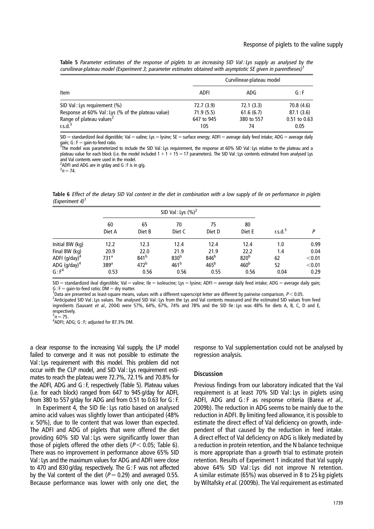Table 5 Parameter estimates of the response of piglets to an increasing SID Val: Lys supply as analysed by the curvilinear-plateau model (Experiment 3; parameter estimates obtained with asymptotic SE given in parentheses)<sup>1</sup>

|                                                             |             | Curvilinear-plateau model |                  |
|-------------------------------------------------------------|-------------|---------------------------|------------------|
| Item                                                        | <b>ADFI</b> | ADG                       | G : F            |
| SID Val: Lys requirement (%)                                | 72.7 (3.9)  | 72.1(3.3)                 | 70.8 (4.6)       |
| Response at 60% Val: Lys (% of the plateau value)           | 71.9(5.5)   | 61.6(6.7)                 | 87.1 (3.6)       |
|                                                             | 647 to 945  | 380 to 557                | $0.51$ to $0.63$ |
| Range of plateau values <sup>2</sup><br>r.s.d. <sup>3</sup> | 105         | 74                        | 0.05             |

 $SID =$  standardized ileal digestible; Val = valine; Lys = lysine; SE = surface energy; ADFI = average daily feed intake; ADG = average daily  $gain$ ;  $G$  :  $F = gain-to-freeed ratio$ .

The model was parameterized to include the SID Val : Lys requirement, the response at 60% SID Val : Lys relative to the plateau and a plateau value for each block (i.e. the model included  $1 + 1 + 15 = 17$  parameters). The SID Val : Lys contents estimated from analysed Lys and Val contents were used in the model.<br><sup>2</sup>ADEL and ADG are in g/day and G: E is in

ADFI and ADG are in g/day and G : F is in g/g.

 $3n = 74.$ 

Table 6 Effect of the dietary SID Val content in the diet in combination with a low supply of Ile on performance in piglets (Experiment 4) $<sup>1</sup>$ </sup>

|                                              |                          | SID Val: Lys $(%)2$      |                          |                          |                          |                     |                  |
|----------------------------------------------|--------------------------|--------------------------|--------------------------|--------------------------|--------------------------|---------------------|------------------|
|                                              | 60<br>Diet A             | 65<br>Diet B             | 70<br>Diet C             | 75<br>Diet D             | 80<br>Diet E             | r.s.d. <sup>3</sup> | Þ                |
| Initial BW (kg)                              | 12.2                     | 12.3                     | 12.4                     | 12.4                     | 12.4                     | 1.0                 | 0.99             |
| Final BW (kg)                                | 20.9<br>731 <sup>a</sup> | 22.0<br>841 <sup>b</sup> | 21.9<br>830 <sup>b</sup> | 21.9<br>846 <sup>b</sup> | 22.2<br>820 <sup>b</sup> | 1.4                 | 0.04             |
| ADFI (g/day) <sup>4</sup><br>ADG $(g/day)^4$ | 389 <sup>a</sup>         | 472 <sup>b</sup>         | 461 <sup>b</sup>         | 465 <sup>b</sup>         | 460 <sup>b</sup>         | 62<br>52            | < 0.01<br>< 0.01 |
| $G : F^4$                                    | 0.53                     | 0.56                     | 0.56                     | 0.55                     | 0.56                     | 0.04                | 0.29             |

 $SID =$ standardized ileal digestible; Val = valine; Ile = isoleucine; Lys = lysine; ADFI = average daily feed intake; ADG = average daily gain; G:  $F =$  gain-to-feed ratio;  $DM =$  dry matter.

<sup>1</sup>Data are presented as least-square means, values with a different superscript letter are different by pairwise comparison,  $P < 0.05$ . <sup>2</sup> Anticipated SID Val : Lys values. The analysed SID Val : Lys from the Lys and Val contents measured and the estimated SID values from feed

ingredients (Sauvant et al., 2004) were 57%, 64%, 67%, 74% and 78% and the SID Ile : Lys was 48% for diets A, B, C, D and E, respectively.  $3n = 75$ 

<sup>3</sup>n = 75.<br><sup>4</sup>ADFI; ADG; G : F; adjusted for 87.3% DM.

a clear response to the increasing Val supply, the LP model failed to converge and it was not possible to estimate the Val : Lys requirement with this model. This problem did not occur with the CLP model, and SID Val : Lys requirement estimates to reach the plateau were 72.7%, 72.1% and 70.8% for the ADFI, ADG and G : F, respectively (Table 5). Plateau values (i.e. for each block) ranged from 647 to 945 g/day for ADFI, from 380 to 557 g/day for ADG and from 0.51 to 0.63 for G : F.

In Experiment 4, the SID Ile : Lys ratio based on analysed amino acid values was slightly lower than anticipated (48% v. 50%), due to Ile content that was lower than expected. The ADFI and ADG of piglets that were offered the diet providing 60% SID Val : Lys were significantly lower than those of piglets offered the other diets ( $P < 0.05$ ; Table 6). There was no improvement in performance above 65% SID Val : Lys and the maximum values for ADG and ADFI were close to 470 and 830 g/day, respectively. The G : F was not affected by the Val content of the diet ( $P = 0.29$ ) and averaged 0.55. Because performance was lower with only one diet, the response to Val supplementation could not be analysed by regression analysis.

#### **Discussion**

Previous findings from our laboratory indicated that the Val requirement is at least 70% SID Val : Lys in piglets using ADFI, ADG and G: F as response criteria (Barea et al., 2009b). The reduction in ADG seems to be mainly due to the reduction in ADFI. By limiting feed allowance, it is possible to estimate the direct effect of Val deficiency on growth, independent of that caused by the reduction in feed intake. A direct effect of Val deficiency on ADG is likely mediated by a reduction in protein retention, and the N balance technique is more appropriate than a growth trial to estimate protein retention. Results of Experiment 1 indicated that Val supply above 64% SID Val: Lys did not improve N retention. A similar estimate (65%) was observed in 8 to 25 kg piglets by Wiltafsky et al. (2009b). The Val requirement as estimated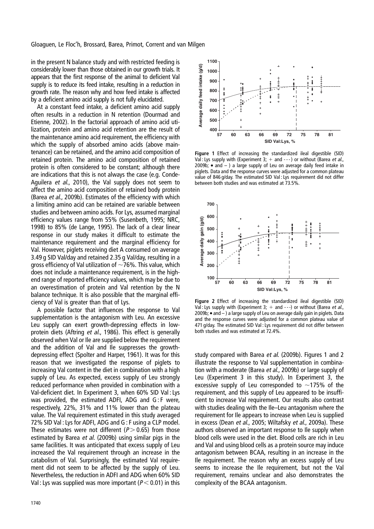Gloaguen, Le Floc'h, Brossard, Barea, Primot, Corrent and van Milgen

in the present N balance study and with restricted feeding is considerably lower than those obtained in our growth trials. It appears that the first response of the animal to deficient Val supply is to reduce its feed intake, resulting in a reduction in growth rate. The reason why and how feed intake is affected by a deficient amino acid supply is not fully elucidated.

At a constant feed intake, a deficient amino acid supply often results in a reduction in N retention (Dourmad and Etienne, 2002). In the factorial approach of amino acid utilization, protein and amino acid retention are the result of the maintenance amino acid requirement, the efficiency with which the supply of absorbed amino acids (above maintenance) can be retained, and the amino acid composition of retained protein. The amino acid composition of retained protein is often considered to be constant; although there are indications that this is not always the case (e.g. Conde-Aguilera et al., 2010), the Val supply does not seem to affect the amino acid composition of retained body protein (Barea et al., 2009b). Estimates of the efficiency with which a limiting amino acid can be retained are variable between studies and between amino acids. For Lys, assumed marginal efficiency values range from 55% (Susenbeth, 1995; NRC, 1998) to 85% (de Lange, 1995). The lack of a clear linear response in our study makes it difficult to estimate the maintenance requirement and the marginal efficiency for Val. However, piglets receiving diet A consumed on average 3.49 g SID Val/day and retained 2.35 g Val/day, resulting in a gross efficiency of Val utilization of  $\sim$ 76%. This value, which does not include a maintenance requirement, is in the highend range of reported efficiency values, which may be due to an overestimation of protein and Val retention by the N balance technique. It is also possible that the marginal efficiency of Val is greater than that of Lys.

A possible factor that influences the response to Val supplementation is the antagonism with Leu. An excessive Leu supply can exert growth-depressing effects in lowprotein diets (Aftring et al., 1986). This effect is generally observed when Val or Ile are supplied below the requirement and the addition of Val and Ile suppresses the growthdepressing effect (Spolter and Harper, 1961). It was for this reason that we investigated the response of piglets to increasing Val content in the diet in combination with a high supply of Leu. As expected, excess supply of Leu strongly reduced performance when provided in combination with a Val-deficient diet. In Experiment 3, when 60% SID Val : Lys was provided, the estimated ADFI, ADG and G : F were, respectively, 22%, 31% and 11% lower than the plateau value. The Val requirement estimated in this study averaged 72% SID Val : Lys for ADFI, ADG and G : F using a CLP model. These estimates were not different ( $P > 0.65$ ) from those estimated by Barea et al. (2009b) using similar pigs in the same facilities. It was anticipated that excess supply of Leu increased the Val requirement through an increase in the catabolism of Val. Surprisingly, the estimated Val requirement did not seem to be affected by the supply of Leu. Nevertheless, the reduction in ADFI and ADG when 60% SID Val : Lys was supplied was more important ( $P < 0.01$ ) in this



Figure 1 Effect of increasing the standardized ileal digestible (SID) Val : Lys supply with (Experiment 3;  $+$  and ---) or without (Barea et al., 2009b;  $\bullet$  and  $-$  ) a large supply of Leu on average daily feed intake in piglets. Data and the response curves were adjusted for a common plateau value of 846 g/day. The estimated SID Val : Lys requirement did not differ between both studies and was estimated at 73.5%.



Figure 2 Effect of increasing the standardized ileal digestible (SID) Val : Lys supply with (Experiment 3:  $+$  and - --) or without (Barea et al., 2009b;  $\bullet$  and  $-$ ) a large supply of Leu on average daily gain in piglets. Data and the response curves were adjusted for a common plateau value of 471 g/day. The estimated SID Val : Lys requirement did not differ between both studies and was estimated at 72.4%.

study compared with Barea et al. (2009b). Figures 1 and 2 illustrate the response to Val supplementation in combination with a moderate (Barea *et al.*, 2009b) or large supply of Leu (Experiment 3 in this study). In Experiment 3, the excessive supply of Leu corresponded to  $\sim$ 175% of the requirement, and this supply of Leu appeared to be insufficient to increase Val requirement. Our results also contrast with studies dealing with the Ile–Leu antagonism where the requirement for Ile appears to increase when Leu is supplied in excess (Dean et al., 2005; Wiltafsky et al., 2009a). These authors observed an important response to Ile supply when blood cells were used in the diet. Blood cells are rich in Leu and Val and using blood cells as a protein source may induce antagonism between BCAA, resulting in an increase in the Ile requirement. The reason why an excess supply of Leu seems to increase the Ile requirement, but not the Val requirement, remains unclear and also demonstrates the complexity of the BCAA antagonism.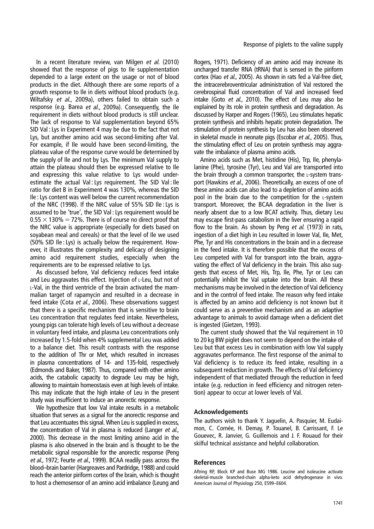In a recent literature review, van Milgen et al. (2010) showed that the response of pigs to Ile supplementation depended to a large extent on the usage or not of blood products in the diet. Although there are some reports of a growth response to Ile in diets without blood products (e.g. Wiltafsky et al., 2009a), others failed to obtain such a response (e.g. Barea et al., 2009a). Consequently, the Ile requirement in diets without blood products is still unclear. The lack of response to Val supplementation beyond 65% SID Val : Lys in Experiment 4 may be due to the fact that not Lys, but another amino acid was second-limiting after Val. For example, if Ile would have been second-limiting, the plateau value of the response curve would be determined by the supply of Ile and not by Lys. The minimum Val supply to attain the plateau should then be expressed relative to Ile and expressing this value relative to Lys would underestimate the actual Val : Lys requirement. The SID Val : Ile ratio for diet B in Experiment 4 was 130%, whereas the SID Ile : Lys content was well below the current recommendation of the NRC (1998). If the NRC value of 55% SID Ile : Lys is assumed to be 'true', the SID Val : Lys requirement would be  $0.55 \times 130\% = 72\%$ . There is of course no direct proof that the NRC value is appropriate (especially for diets based on soyabean meal and cereals) or that the level of Ile we used (50% SID Ile : Lys) is actually below the requirement. However, it illustrates the complexity and delicacy of designing amino acid requirement studies, especially when the requirements are to be expressed relative to Lys.

As discussed before, Val deficiency reduces feed intake and Leu aggravates this effect. Injection of L-Leu, but not of L-Val, in the third ventricle of the brain activated the mammalian target of rapamycin and resulted in a decrease in feed intake (Cota et al., 2006). These observations suggest that there is a specific mechanism that is sensitive to brain Leu concentration that regulates feed intake. Nevertheless, young pigs can tolerate high levels of Leu without a decrease in voluntary feed intake, and plasma Leu concentrations only increased by 1.5-fold when 4% supplemental Leu was added to a balance diet. This result contrasts with the response to the addition of Thr or Met, which resulted in increases in plasma concentrations of 14- and 135-fold, respectively (Edmonds and Baker, 1987). Thus, compared with other amino acids, the catabolic capacity to degrade Leu may be high, allowing to maintain homeostasis even at high levels of intake. This may indicate that the high intake of Leu in the present study was insufficient to induce an anorectic response.

We hypothesize that low Val intake results in a metabolic situation that serves as a signal for the anorectic response and that Leu accentuates this signal. When Leu is supplied in excess, the concentration of Val in plasma is reduced (Langer et al., 2000). This decrease in the most limiting amino acid in the plasma is also observed in the brain and is thought to be the metabolic signal responsible for the anorectic response (Peng et al., 1972; Feurte et al., 1999). BCAA readily pass across the blood–brain barrier (Hargreaves and Pardridge, 1988) and could reach the anterior piriform cortex of the brain, which is thought to host a chemosensor of an amino acid imbalance (Leung and

Rogers, 1971). Deficiency of an amino acid may increase its uncharged transfer RNA (tRNA) that is sensed in the piriform cortex (Hao et al., 2005). As shown in rats fed a Val-free diet, the intracerebroventricular administration of Val restored the cerebrospinal fluid concentration of Val and increased feed intake (Goto et al., 2010). The effect of Leu may also be explained by its role in protein synthesis and degradation. As discussed by Harper and Rogers (1965), Leu stimulates hepatic protein synthesis and inhibits hepatic protein degradation. The stimulation of protein synthesis by Leu has also been observed in skeletal muscle in neonate pigs (Escobar *et al.*, 2005). Thus, the stimulating effect of Leu on protein synthesis may aggravate the imbalance of plasma amino acids.

Amino acids such as Met, histidine (His), Trp, Ile, phenylalanine (Phe), tyrosine (Tyr), Leu and Val are transported into the brain through a common transporter, the L-system transport (Hawkins et al., 2006). Theoretically, an excess of one of these amino acids can also lead to a depletion of amino acids pool in the brain due to the competition for the L-system transport. Moreover, the BCAA degradation in the liver is nearly absent due to a low BCAT activity. Thus, dietary Leu may escape first-pass catabolism in the liver ensuring a rapid flow to the brain. As shown by Peng et al. (1973) in rats, ingestion of a diet high in Leu resulted in lower Val, Ile, Met, Phe, Tyr and His concentrations in the brain and in a decrease in the feed intake. It is therefore possible that the excess of Leu competed with Val for transport into the brain, aggravating the effect of Val deficiency in the brain. This also suggests that excess of Met, His, Trp, Ile, Phe, Tyr or Leu can potentially inhibit the Val uptake into the brain. All these mechanisms may be involved in the detection of Val deficiency and in the control of feed intake. The reason why feed intake is affected by an amino acid deficiency is not known but it could serve as a preventive mechanism and as an adaptive advantage to animals to avoid damage when a deficient diet is ingested (Gietzen, 1993).

The current study showed that the Val requirement in 10 to 20 kg BW piglet does not seem to depend on the intake of Leu but that excess Leu in combination with low Val supply aggravates performance. The first response of the animal to Val deficiency is to reduce its feed intake, resulting in a subsequent reduction in growth. The effects of Val deficiency independent of that mediated through the reduction in feed intake (e.g. reduction in feed efficiency and nitrogen retention) appear to occur at lower levels of Val.

#### Acknowledgements

The authors wish to thank Y. Jaguelin, A. Pasquier, M. Eudaimon, C. Cornée, H. Demay, P. Touanel, B. Carrissant, F. Le Gouevec, R. Janvier, G. Guillemois and J. F. Rouaud for their skilful technical assistance and helpful collaboration.

#### References

Aftring RP, Block KP and Buse MG 1986. Leucine and isoleucine activate skeletal-muscle branched-chain alpha-keto acid dehydrogenase in vivo. American Journal of Physiology 250, E599–E604.